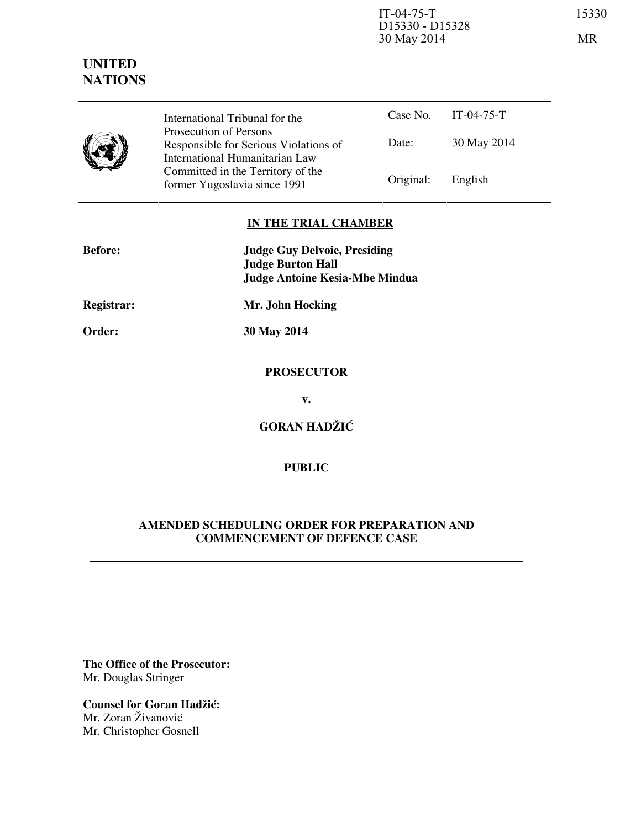IT-04-75-T 15330 D15330 - D15328 30 May 2014 MR

|  | International Tribunal for the<br>Prosecution of Persons                |           | Case No. $IT-04-75-T$ |  |
|--|-------------------------------------------------------------------------|-----------|-----------------------|--|
|  | Responsible for Serious Violations of<br>International Humanitarian Law | Date:     | 30 May 2014           |  |
|  | Committed in the Territory of the<br>former Yugoslavia since 1991       | Original: | English               |  |

#### **IN THE TRIAL CHAMBER**

| <b>Before:</b> | <b>Judge Guy Delvoie, Presiding</b><br><b>Judge Burton Hall</b> |
|----------------|-----------------------------------------------------------------|
|                | <b>Judge Antoine Kesia-Mbe Mindua</b>                           |
| Registrar:     | Mr. John Hocking                                                |
| Order:         | 30 May 2014                                                     |
|                |                                                                 |
|                | <b>PROSECUTOR</b>                                               |
|                | v.                                                              |
|                | <b>GORAN HADŽIĆ</b>                                             |

## **PUBLIC**

### **AMENDED SCHEDULING ORDER FOR PREPARATION AND COMMENCEMENT OF DEFENCE CASE**

**The Office of the Prosecutor:** Mr. Douglas Stringer

**Counsel for Goran Hadžić:** Mr. Zoran Živanović Mr. Christopher Gosnell

# **UNITED NATIONS**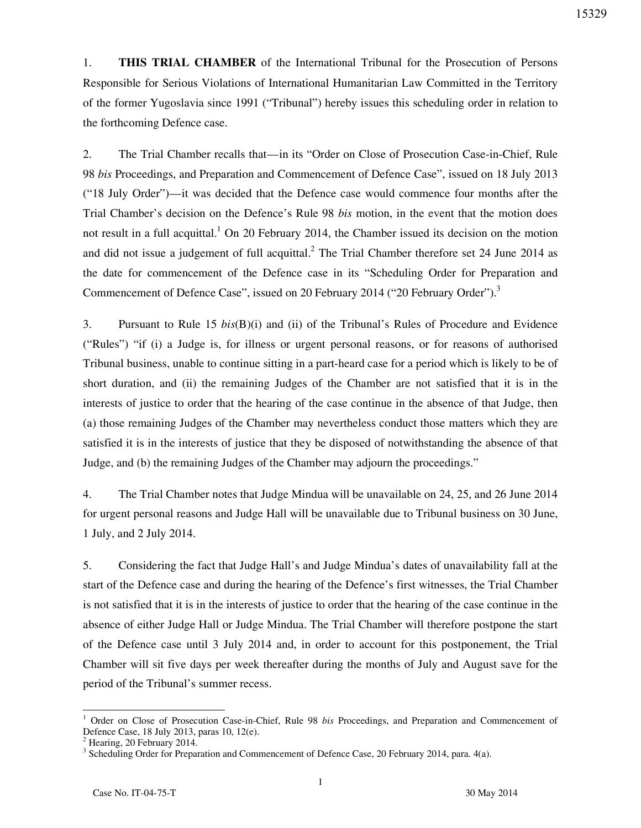1. **THIS TRIAL CHAMBER** of the International Tribunal for the Prosecution of Persons Responsible for Serious Violations of International Humanitarian Law Committed in the Territory of the former Yugoslavia since 1991 ("Tribunal") hereby issues this scheduling order in relation to the forthcoming Defence case.

2. The Trial Chamber recalls that—in its "Order on Close of Prosecution Case-in-Chief, Rule 98 *bis* Proceedings, and Preparation and Commencement of Defence Case", issued on 18 July 2013 ("18 July Order")—it was decided that the Defence case would commence four months after the Trial Chamber's decision on the Defence's Rule 98 *bis* motion, in the event that the motion does not result in a full acquittal.<sup>1</sup> On 20 February 2014, the Chamber issued its decision on the motion and did not issue a judgement of full acquittal.<sup>2</sup> The Trial Chamber therefore set 24 June 2014 as the date for commencement of the Defence case in its "Scheduling Order for Preparation and Commencement of Defence Case", issued on 20 February 2014 ("20 February Order").<sup>3</sup>

3. Pursuant to Rule 15 *bis*(B)(i) and (ii) of the Tribunal's Rules of Procedure and Evidence ("Rules") "if (i) a Judge is, for illness or urgent personal reasons, or for reasons of authorised Tribunal business, unable to continue sitting in a part-heard case for a period which is likely to be of short duration, and (ii) the remaining Judges of the Chamber are not satisfied that it is in the interests of justice to order that the hearing of the case continue in the absence of that Judge, then (a) those remaining Judges of the Chamber may nevertheless conduct those matters which they are satisfied it is in the interests of justice that they be disposed of notwithstanding the absence of that Judge, and (b) the remaining Judges of the Chamber may adjourn the proceedings."

4. The Trial Chamber notes that Judge Mindua will be unavailable on 24, 25, and 26 June 2014 for urgent personal reasons and Judge Hall will be unavailable due to Tribunal business on 30 June, 1 July, and 2 July 2014.

5. Considering the fact that Judge Hall's and Judge Mindua's dates of unavailability fall at the start of the Defence case and during the hearing of the Defence's first witnesses, the Trial Chamber is not satisfied that it is in the interests of justice to order that the hearing of the case continue in the absence of either Judge Hall or Judge Mindua. The Trial Chamber will therefore postpone the start of the Defence case until 3 July 2014 and, in order to account for this postponement, the Trial Chamber will sit five days per week thereafter during the months of July and August save for the period of the Tribunal's summer recess.

 $\overline{a}$ 

<sup>1</sup> Order on Close of Prosecution Case-in-Chief, Rule 98 *bis* Proceedings, and Preparation and Commencement of Defence Case, 18 July 2013, paras 10, 12(e).

<sup>&</sup>lt;sup>2</sup> Hearing, 20 February 2014.<br><sup>3</sup> Scheduling Order for Preparation and Commencement of Defence Case, 20 February 2014, para. 4(a).